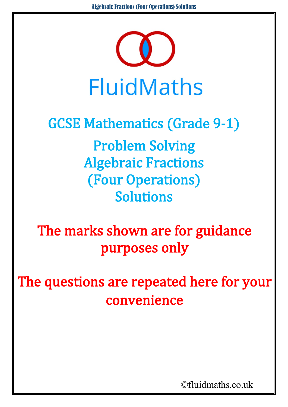

## GCSE Mathematics (Grade 9-1) Problem Solving

Algebraic Fractions (Four Operations) Solutions

The marks shown are for guidance purposes only

The questions are repeated here for your convenience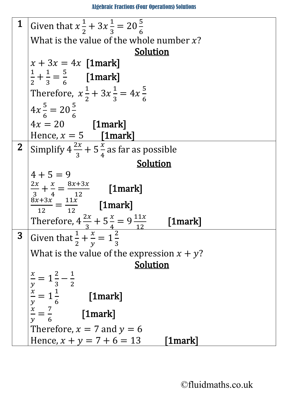Algebraic Fractions (Four Operations) Solutions

| $\mathbf 1$     | Given that $x\frac{1}{2} + 3x\frac{1}{3} = 20\frac{5}{6}$                                                                             |
|-----------------|---------------------------------------------------------------------------------------------------------------------------------------|
|                 | What is the value of the whole number $x$ ?                                                                                           |
|                 | <b>Solution</b>                                                                                                                       |
|                 | $x + 3x = 4x$ [1mark]                                                                                                                 |
|                 | $\frac{1}{2} + \frac{1}{3} = \frac{5}{6}$ [1mark]                                                                                     |
|                 | Therefore, $x\frac{1}{2} + 3x\frac{1}{2} = 4x\frac{5}{6}$                                                                             |
|                 |                                                                                                                                       |
|                 | $4x\frac{5}{6} = 20\frac{5}{6}$                                                                                                       |
|                 | $4x = 20$ [1mark]                                                                                                                     |
|                 | Hence, $x = 5$ [1mark]                                                                                                                |
| $2\overline{ }$ | Simplify $4\frac{2x}{3} + 5\frac{x}{4}$ as far as possible                                                                            |
|                 | Solution                                                                                                                              |
|                 | $4 + 5 = 9$                                                                                                                           |
|                 |                                                                                                                                       |
|                 | $\frac{2x}{3} + \frac{x}{4} = \frac{8x + 3x}{12}$ [1mark]                                                                             |
|                 | $\frac{8x+3x}{12} = \frac{11x}{12}$ [1mark]                                                                                           |
|                 | Therefore, $4\frac{2x}{3} + 5\frac{x}{4} = 9\frac{11x}{12}$<br>Given that $\frac{1}{2} + \frac{x}{y} = 1\frac{2}{3}$<br>$[1$ mark $]$ |
| 3               |                                                                                                                                       |
|                 | What is the value of the expression $x + y$ ?                                                                                         |
|                 | Solution                                                                                                                              |
|                 |                                                                                                                                       |
|                 | $\frac{x}{y} = 1\frac{2}{3} - \frac{1}{2}$                                                                                            |
|                 | $\frac{x}{y} = 1\frac{1}{6}$<br>$[1$ mark $]$                                                                                         |
|                 | $\mathcal{Y}$                                                                                                                         |
|                 | $\frac{x}{y} = \frac{7}{6}$<br>[1mark]                                                                                                |
|                 | Therefore, $x = 7$ and $y = 6$                                                                                                        |
|                 | Hence, $x + y = 7 + 6 = 13$<br>[1mark]                                                                                                |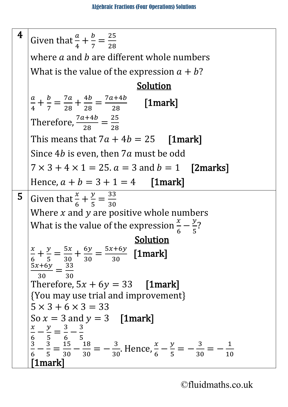<sup>4</sup> Given that  $\frac{a}{4} + \frac{b}{7} =$ 25 28 where  $a$  and  $b$  are different whole numbers What is the value of the expression  $a + b$ ? **Solution**  $\frac{a}{\overline{a}}$  $\frac{a}{4} + \frac{b}{7} =$  $\frac{7a}{2}$  $\frac{7a}{28} + \frac{4b}{28} =$  $\frac{7a+4b}{2a+6c}$  $\frac{1}{28}$  [1mark] Therefore,  $\frac{7a+4b}{28}$  = 25 28 This means that  $7a + 4b = 25$  [1mark] Since  $4b$  is even, then  $7a$  must be odd  $7 \times 3 + 4 \times 1 = 25$ .  $a = 3$  and  $b = 1$  [2marks] Hence,  $a + b = 3 + 1 = 4$  [1mark] **5** Given that  $\frac{x}{6} + \frac{y}{5} =$ 33 30 Where  $x$  and  $y$  are positive whole numbers What is the value of the expression  $\frac{x}{6} - \frac{y}{5}$ ?  $\frac{x}{x} + \frac{y}{y} = \frac{5x}{x} + \frac{6y}{y} = \frac{5x+6y}{x}$  [1 mark]  $\frac{x}{6} + \frac{y}{5} =$  $\frac{5x}{2}$  $\frac{5x}{30} + \frac{6y}{30} =$  $\frac{5x+6y}{2}$  $\frac{1}{30}$  [1mark]  $\frac{5x+6y}{x}$  $\frac{1}{30}$  = 33 30 Therefore,  $5x + 6y = 33$  [1mark] {You may use trial and improvement}  $5 \times 3 + 6 \times 3 = 33$ <br>So  $x = 3$  and  $y = 3$  [1mark] So  $x = 3$  and  $y = 3$  [**1mark**]<br> $\frac{x}{a} - \frac{y}{b} - \frac{3}{a} - \frac{3}{b}$  $\frac{x}{6} - \frac{y}{5} =$  $\frac{3}{6}$  –  $\frac{3}{5}$  $\frac{3}{6} - \frac{3}{5} =$  $\frac{15}{30} - \frac{18}{30} = -\frac{3}{30}$ . Hence,  $\frac{x}{6} - \frac{y}{5} = -\frac{3}{30} = -\frac{1}{10}$ [1mark]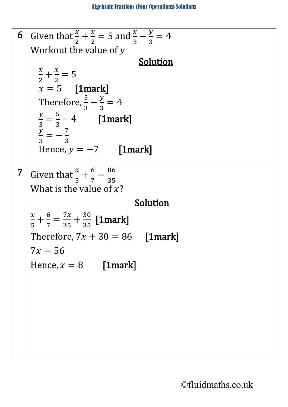```
6 Given that \frac{x}{2} + \frac{x}{2} = 5 and \frac{x}{3} - \frac{y}{3} = 42
2
    Workout the value of y\frac{x}{2} + \frac{x}{2} - 5\frac{x}{2} + \frac{x}{2} = 5x = 5 [1mark]
       Therefore, \frac{5}{3} - \frac{y}{3} = 43
       \frac{y}{x}\frac{2}{3} =
             5
             \frac{5}{3} - \frac{4}{7} [1mark]
       \frac{y}{3} = -\frac{7}{3}3
3
       Hence, y = -7 [1mark]
7 Given that \frac{x}{5} + \frac{6}{7} =86
                                35
    What is the value of x?
                                         Solution 
    \frac{x}{5} + \frac{6}{7} =\frac{7x}{35} + \frac{30}{35} [1mark]
    Therefore, 7x + 30 = 86 [1mark]
    7x = 56Hence, x = 8 [1mark]
```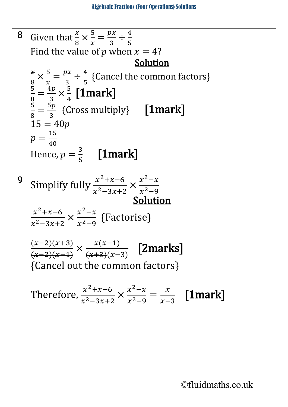8 Given that 
$$
\frac{x}{8} \times \frac{5}{x} = \frac{px}{3} \div \frac{4}{5}
$$
  
\nFind the value of *p* when  $x = 4$ ?  
\n
$$
\frac{x}{8} \times \frac{5}{x} = \frac{px}{3} \div \frac{4}{5}
$$
 {Cancel the common factors}  
\n
$$
\frac{8}{8} = \frac{4p}{3} \times \frac{5}{4}
$$
 [1mark]  
\n
$$
\frac{5}{8} = \frac{5p}{3}
$$
 {Cross multiply} [1mark]  
\n
$$
15 = 40p
$$
  
\n
$$
p = \frac{15}{40}
$$
  
\nHence,  $p = \frac{3}{5}$  [1mark]  
\n9 Simplify fully  $\frac{x^2 + x - 6}{x^2 - 3x + 2} \times \frac{x^2 - x}{x^2 - 9}$   
\n**Solution**  
\n
$$
\frac{x^2 + x - 6}{x^2 - 3x + 2} \times \frac{x^2 - x}{x^2 - 9}
$$
 {Factorise}  
\n
$$
\frac{(x-2)(x+3)}{(x-2)(x-4)} \times \frac{x(x+1)}{(x+3)(x-3)}
$$
 [2marks]  
\n{Cancel out the common factors}  
\nTherefore,  $\frac{x^2 + x - 6}{x^2 - 3x + 2} \times \frac{x^2 - x}{x^2 - 9} = \frac{x}{x-3}$  [1mark]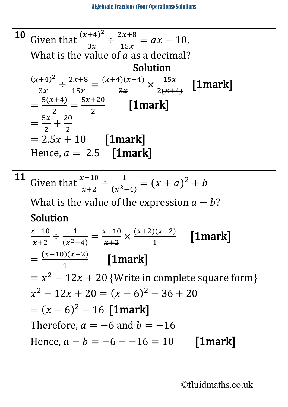10 Given that 
$$
\frac{(x+4)^2}{3x} \div \frac{2x+8}{15x} = ax + 10
$$
,  
\nWhat is the value of *a* as a decimal?  
\nSolution  
\n
$$
\frac{(x+4)^2}{3x} \div \frac{2x+8}{15x} = \frac{(x+4)(x+4)}{3x} \times \frac{45x}{2(x+4)}
$$
 [1mark]  
\n
$$
= \frac{5(x+4)}{2} = \frac{5x+20}{2}
$$
 [1mark]  
\n
$$
= \frac{5x}{2} + \frac{20}{2}
$$
  
\n= 2.5x + 10 [1mark]  
\nHence,  $a = 2.5$  [1mark]  
\n11 Given that  $\frac{x-10}{x+2} \div \frac{1}{(x^2-4)} = (x + a)^2 + b$   
\nWhat is the value of the expression  $a - b$ ?  
\nSolution  
\n
$$
\frac{x-10}{x+2} \div \frac{1}{(x^2-4)} = \frac{x-10}{x+2} \times \frac{(x+2)(x-2)}{1}
$$
 [1mark]  
\n
$$
= \frac{(x-10)(x-2)}{1}
$$
 [1mark]  
\n
$$
= x^2 - 12x + 20
$$
 {Write in complete square form}  
\n $x^2 - 12x + 20 = (x - 6)^2 - 36 + 20$   
\n
$$
= (x - 6)^2 - 16
$$
 [1mark]  
\nTherefore,  $a = -6$  and  $b = -16$   
\nHence,  $a - b = -6 - -16 = 10$  [1mark]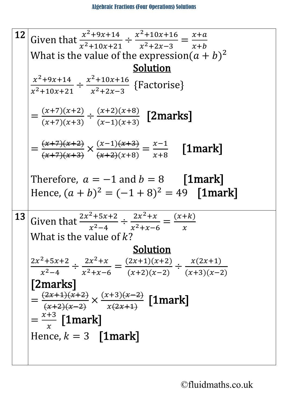12 Given that 
$$
\frac{x^2+9x+14}{x^2+10x+21} \div \frac{x^2+10x+16}{x^2+2x-3} = \frac{x+a}{x+b}
$$
  
\nWhat is the value of the expression  $(a + b)^2$   
\n $\frac{1}{x^2+10x+21} \div \frac{x^2+10x+16}{x^2+2x-3}$  {Factorise}  
\n $= \frac{(x+7)(x+2)}{(x+7)(x+3)} \div \frac{(x+2)(x+8)}{(x-1)(x+3)}$  [2marks]  
\n $= \frac{(x+7)(x+2)}{(x+7)(x+3)} \times \frac{(x-1)(x+3)}{(x+2)(x+8)} = \frac{x-1}{x+8}$  [1mark]  
\nTherefore,  $a = -1$  and  $b = 8$  [1mark]  
\nHence,  $(a + b)^2 = (-1 + 8)^2 = 49$  [1mark]  
\n13 Given that  $\frac{2x^2+5x+2}{x^2-4} \div \frac{2x^2+x}{x^2+x-6} = \frac{(x+k)}{x}$   
\nWhat is the value of k?  
\n $\frac{2x^2+5x+2}{x^2-4} \div \frac{2x^2+x}{x^2+x-6} = \frac{(2x+1)(x+2)}{(x+2)(x-2)} \div \frac{x(2x+1)}{(x+3)(x-2)}$   
\n[2marks]  
\n $= \frac{(2x+1)(x+2)}{(x+2)(x-2)} \times \frac{(x+3)(x-2)}{x(2x+1)}$  [1mark]  
\n $= \frac{x+3}{x}$  [1mark]  
\nHence,  $k = 3$  [1mark]